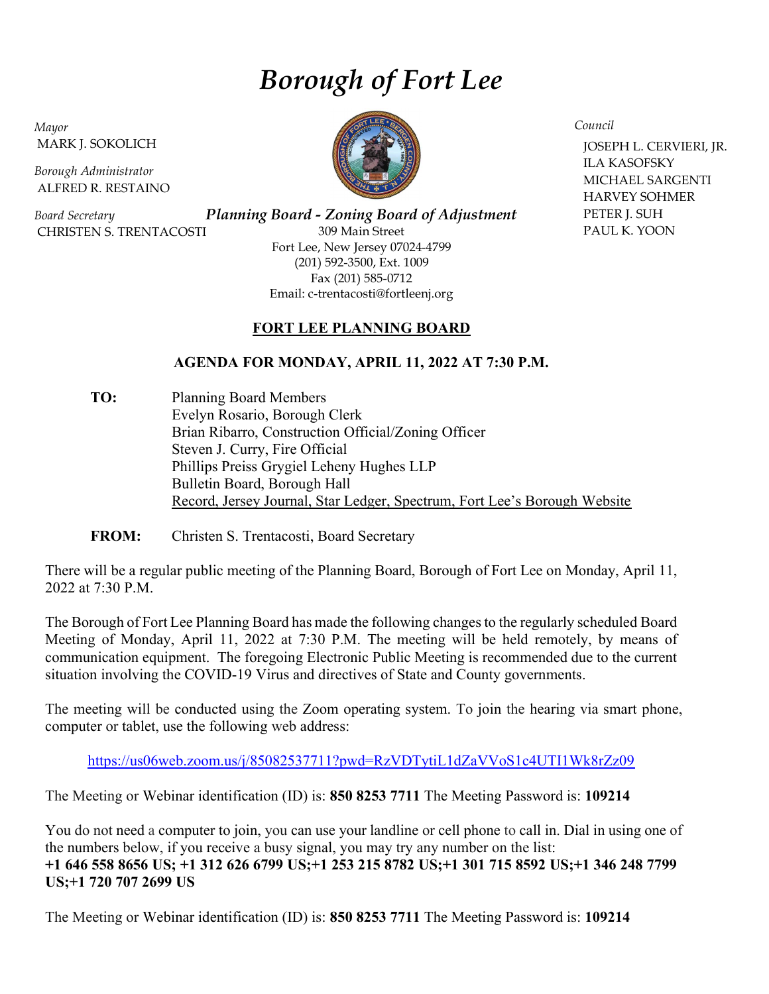## Borough of Fort Lee

Mayor MARK J. SOKOLICH

Borough Administrator ALFRED R. RESTAINO

Board Secretary CHRISTEN S. TRENTACOSTI

Planning Board - Zoning Board of Adjustment 309 Main Street Fort Lee, New Jersey 07024-4799 (201) 592-3500, Ext. 1009 Fax (201) 585-0712 Email: c-trentacosti@fortleenj.org

## FORT LEE PLANNING BOARD

## AGENDA FOR MONDAY, APRIL 11, 2022 AT 7:30 P.M.

TO: Planning Board Members Evelyn Rosario, Borough Clerk Brian Ribarro, Construction Official/Zoning Officer Steven J. Curry, Fire Official Phillips Preiss Grygiel Leheny Hughes LLP Bulletin Board, Borough Hall Record, Jersey Journal, Star Ledger, Spectrum, Fort Lee's Borough Website

FROM: Christen S. Trentacosti, Board Secretary

There will be a regular public meeting of the Planning Board, Borough of Fort Lee on Monday, April 11, 2022 at 7:30 P.M.

The Borough of Fort Lee Planning Board has made the following changes to the regularly scheduled Board Meeting of Monday, April 11, 2022 at 7:30 P.M. The meeting will be held remotely, by means of communication equipment. The foregoing Electronic Public Meeting is recommended due to the current situation involving the COVID-19 Virus and directives of State and County governments.

The meeting will be conducted using the Zoom operating system. To join the hearing via smart phone, computer or tablet, use the following web address:

https://us06web.zoom.us/j/85082537711?pwd=RzVDTytiL1dZaVVoS1c4UTI1Wk8rZz09

The Meeting or Webinar identification (ID) is: 850 8253 7711 The Meeting Password is: 109214

You do not need a computer to join, you can use your landline or cell phone to call in. Dial in using one of the numbers below, if you receive a busy signal, you may try any number on the list: +1 646 558 8656 US; +1 312 626 6799 US;+1 253 215 8782 US;+1 301 715 8592 US;+1 346 248 7799 US;+1 720 707 2699 US

The Meeting or Webinar identification (ID) is: 850 8253 7711 The Meeting Password is: 109214



Council JOSEPH L. CERVIERI, JR. ILA KASOFSKY MICHAEL SARGENTI HARVEY SOHMER PETER J. SUH PAUL K. YOON